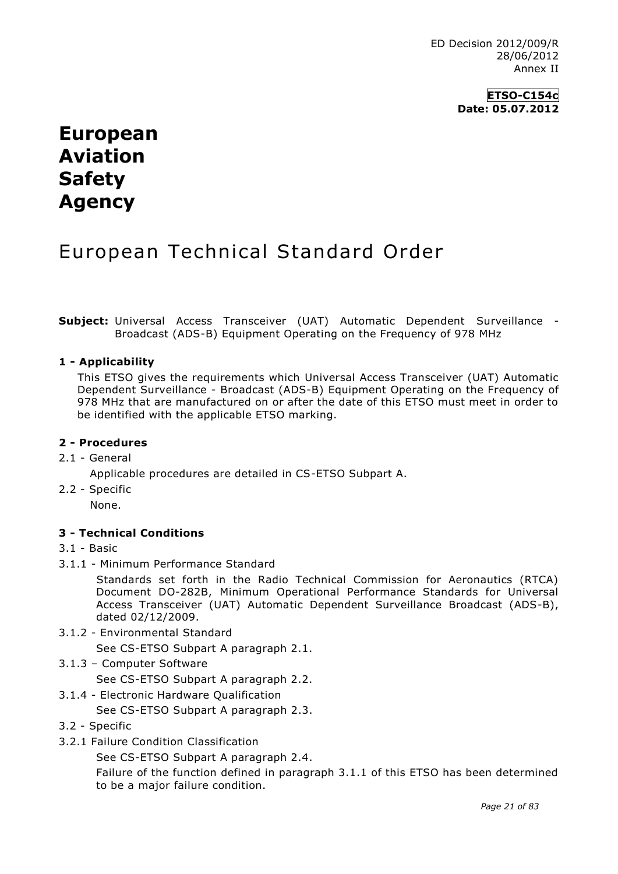ED Decision 2012/009/R 28/06/2012 Annex II

> **ETSO-C154c Date: 05.07.2012**

# **European Aviation Safety Agency**

## European Technical Standard Order

**Subject:** Universal Access Transceiver (UAT) Automatic Dependent Surveillance - Broadcast (ADS-B) Equipment Operating on the Frequency of 978 MHz

### **1 - Applicability**

This ETSO gives the requirements which Universal Access Transceiver (UAT) Automatic Dependent Surveillance - Broadcast (ADS-B) Equipment Operating on the Frequency of 978 MHz that are manufactured on or after the date of this ETSO must meet in order to be identified with the applicable ETSO marking.

#### **2 - Procedures**

#### 2.1 - General

Applicable procedures are detailed in CS-ETSO Subpart A.

2.2 - Specific

None.

#### **3 - Technical Conditions**

#### 3.1 - Basic

3.1.1 - Minimum Performance Standard

Standards set forth in the Radio Technical Commission for Aeronautics (RTCA) Document DO-282B, Minimum Operational Performance Standards for Universal Access Transceiver (UAT) Automatic Dependent Surveillance Broadcast (ADS-B), dated 02/12/2009.

3.1.2 - Environmental Standard

See CS-ETSO Subpart A paragraph 2.1.

3.1.3 – Computer Software

See CS-ETSO Subpart A paragraph 2.2.

3.1.4 - Electronic Hardware Qualification

See CS-ETSO Subpart A paragraph 2.3.

- 3.2 Specific
- 3.2.1 Failure Condition Classification

See CS-ETSO Subpart A paragraph 2.4.

Failure of the function defined in paragraph 3.1.1 of this ETSO has been determined to be a major failure condition.